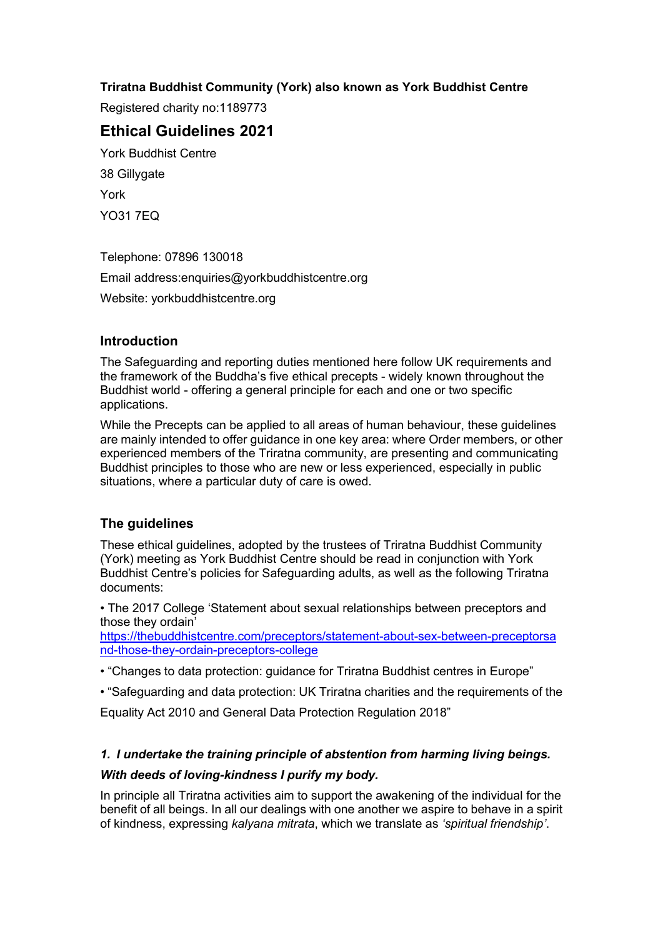# **Triratna Buddhist Community (York) also known as York Buddhist Centre**

Registered charity no:1189773

# **Ethical Guidelines 2021**

York Buddhist Centre 38 Gillygate York YO31 7EQ

Telephone: 07896 130018

Email address:enquiries@yorkbuddhistcentre.org

Website: yorkbuddhistcentre.org

#### **Introduction**

The Safeguarding and reporting duties mentioned here follow UK requirements and the framework of the Buddha's five ethical precepts - widely known throughout the Buddhist world - offering a general principle for each and one or two specific applications.

While the Precepts can be applied to all areas of human behaviour, these guidelines are mainly intended to offer guidance in one key area: where Order members, or other experienced members of the Triratna community, are presenting and communicating Buddhist principles to those who are new or less experienced, especially in public situations, where a particular duty of care is owed.

## **The guidelines**

These ethical guidelines, adopted by the trustees of Triratna Buddhist Community (York) meeting as York Buddhist Centre should be read in conjunction with York Buddhist Centre's policies for Safeguarding adults, as well as the following Triratna documents:

• The 2017 College 'Statement about sexual relationships between preceptors and those they ordain'

[https://thebuddhistcentre.com/preceptors/statement-about-sex-between-preceptorsa](https://thebuddhistcentre.com/preceptors/statement-about-sex-between-preceptorsand-those-they-ordain-preceptors-college) nd-those-they-ordain-preceptors-college

- "Changes to data protection: guidance for Triratna Buddhist centres in Europe"
- "Safeguarding and data protection: UK Triratna charities and the requirements of the

Equality Act 2010 and General Data Protection Regulation 2018"

# *1. I undertake the training principle of abstention from harming living beings.*

## *With deeds of loving-kindness I purify my body.*

In principle all Triratna activities aim to support the awakening of the individual for the benefit of all beings. In all our dealings with one another we aspire to behave in a spirit of kindness, expressing *kalyana mitrata*, which we translate as *'spiritual friendship'*.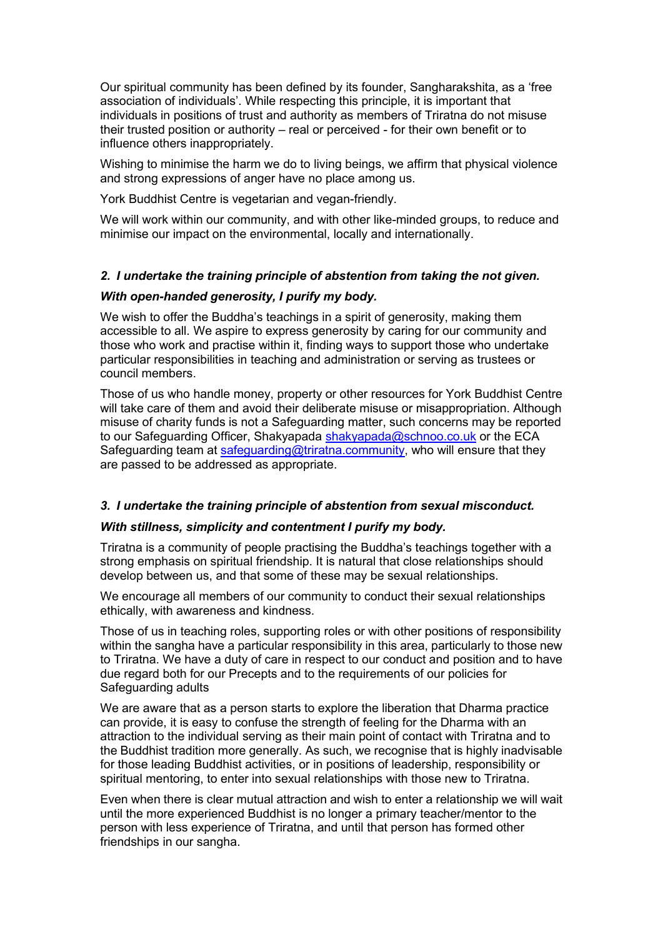Our spiritual community has been defined by its founder, Sangharakshita, as a 'free association of individuals'. While respecting this principle, it is important that individuals in positions of trust and authority as members of Triratna do not misuse their trusted position or authority – real or perceived - for their own benefit or to influence others inappropriately.

Wishing to minimise the harm we do to living beings, we affirm that physical violence and strong expressions of anger have no place among us.

York Buddhist Centre is vegetarian and vegan-friendly.

We will work within our community, and with other like-minded groups, to reduce and minimise our impact on the environmental, locally and internationally.

## *2. I undertake the training principle of abstention from taking the not given.*

#### *With open-handed generosity, I purify my body.*

We wish to offer the Buddha's teachings in a spirit of generosity, making them accessible to all. We aspire to express generosity by caring for our community and those who work and practise within it, finding ways to support those who undertake particular responsibilities in teaching and administration or serving as trustees or council members.

Those of us who handle money, property or other resources for York Buddhist Centre will take care of them and avoid their deliberate misuse or misappropriation. Although misuse of charity funds is not a Safeguarding matter, such concerns may be reported to our Safeguarding Officer, Shakyapada [shakyapada@schnoo.co.uk](mailto:shakyapada@schnoo.co.uk) or the ECA Safeguarding team at [safeguarding@triratna.community](mailto: safeguarding@triratna.community), who will ensure that they are passed to be addressed as appropriate.

## *3. I undertake the training principle of abstention from sexual misconduct.*

## *With stillness, simplicity and contentment I purify my body.*

Triratna is a community of people practising the Buddha's teachings together with a strong emphasis on spiritual friendship. It is natural that close relationships should develop between us, and that some of these may be sexual relationships.

We encourage all members of our community to conduct their sexual relationships ethically, with awareness and kindness.

Those of us in teaching roles, supporting roles or with other positions of responsibility within the sangha have a particular responsibility in this area, particularly to those new to Triratna. We have a duty of care in respect to our conduct and position and to have due regard both for our Precepts and to the requirements of our policies for Safeguarding adults

We are aware that as a person starts to explore the liberation that Dharma practice can provide, it is easy to confuse the strength of feeling for the Dharma with an attraction to the individual serving as their main point of contact with Triratna and to the Buddhist tradition more generally. As such, we recognise that is highly inadvisable for those leading Buddhist activities, or in positions ofleadership, responsibility or spiritual mentoring, to enter into sexual relationships with those new to Triratna.

Even when there is clear mutual attraction and wish to enter a relationship we will wait until the more experienced Buddhist is no longer a primary teacher/mentor to the person with less experience of Triratna, and until that person has formed other friendships in our sangha.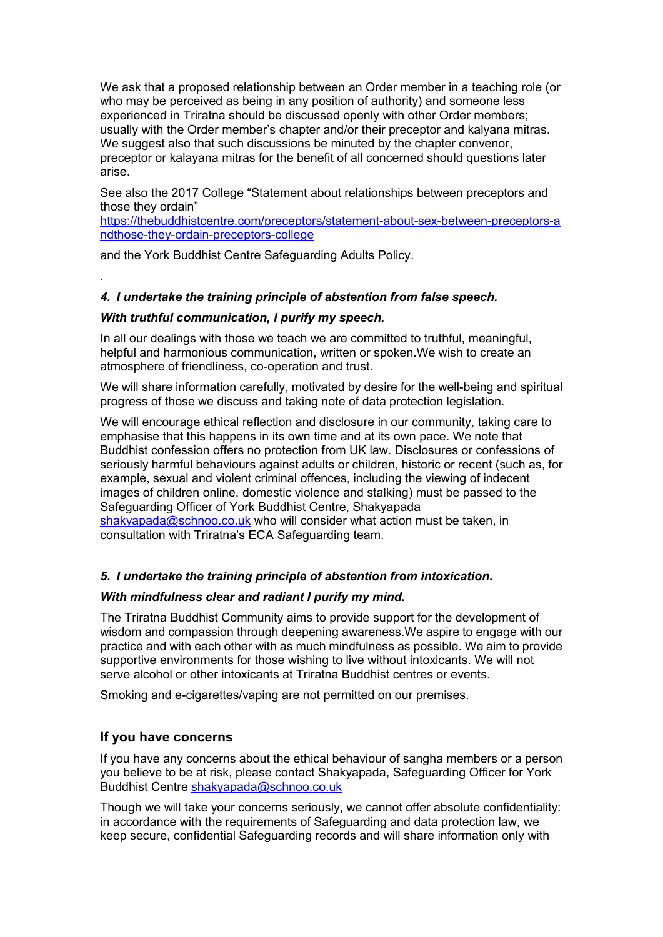We ask that a proposed relationship between an Order member in a teaching role (or who may be perceived as being in any position of authority) and someone less experienced in Triratna should be discussed openly with other Order members; usually with the Order member's chapter and/or their preceptor and kalyana mitras. We suggest also that such discussions be minuted by the chapter convenor. preceptor or kalayana mitras for the benefit of all concerned should questions later arise.

See also the 2017 College "Statement about relationships between preceptors and those they ordain"

[https://thebuddhistcentre.com/preceptors/statement-about-sex-between-preceptors-a](https://thebuddhistcentre.com/preceptors/statement-about-sex-between-preceptors-andthose-they-ordain-preceptors-college) ndthose-they-ordain-preceptors-college

and the York Buddhist Centre Safeguarding Adults Policy.

## *4. I undertake the training principle of abstention from false speech.*

#### *With truthful communication, I purify my speech.*

.

In all our dealings with those we teach we are committed to truthful, meaningful, helpful and harmonious communication, written or spoken.We wish to create an atmosphere of friendliness, co-operation and trust.

We will share information carefully, motivated by desire for the well-being and spiritual progress of those we discuss and taking note of data protection legislation.

We will encourage ethical reflection and disclosure in our community, taking care to emphasise that this happens in its own time and at its own pace. We note that Buddhist confession offers no protection from UK law. Disclosures or confessions of seriously harmful behaviours against adults or children, historic or recent (such as, for example, sexual and violent criminal offences, including the viewing of indecent images of children online, domestic violence and stalking) must be passed to the Safeguarding Officer of York Buddhist Centre, Shakyapada [shakyapada@schnoo.co.uk](mailto:shakyapada@schnoo.co.uk) who will consider what action must be taken, in consultation with Triratna's ECA Safeguarding team.

## *5. I undertake the training principle of abstention from intoxication.*

#### *With mindfulness clear and radiant I purify my mind.*

The Triratna Buddhist Community aims to provide support for the development of wisdom and compassion through deepening awareness.We aspire to engage with our practice and with each other with as much mindfulness as possible. We aim to provide supportive environments for those wishing to live without intoxicants. We will not serve alcohol or other intoxicants at Triratna Buddhist centres or events.

Smoking and e-cigarettes/vaping are not permitted on our premises.

## **If you have concerns**

If you have any concerns about the ethical behaviour of sangha members or a person you believe to be at risk, please contact Shakyapada, Safeguarding Officer for York Buddhist Centre [shakyapada@schnoo.co.uk](mailto:shakyapada@schnoo.co.uk)

Though we will take your concerns seriously, we cannot offer absolute confidentiality: in accordance with the requirements of Safeguarding and data protection law, we keep secure, confidential Safeguarding records and will share information only with